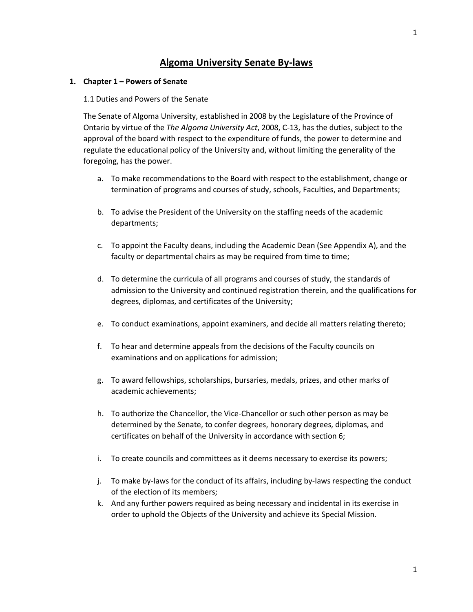# **Algoma University Senate By-laws**

### **1. Chapter 1 – Powers of Senate**

#### 1.1 Duties and Powers of the Senate

The Senate of Algoma University, established in 2008 by the Legislature of the Province of Ontario by virtue of the *The Algoma University Act*, 2008, C-13, has the duties, subject to the approval of the board with respect to the expenditure of funds, the power to determine and regulate the educational policy of the University and, without limiting the generality of the foregoing, has the power.

- a. To make recommendations to the Board with respect to the establishment, change or termination of programs and courses of study, schools, Faculties, and Departments;
- b. To advise the President of the University on the staffing needs of the academic departments;
- c. To appoint the Faculty deans, including the Academic Dean (See Appendix A), and the faculty or departmental chairs as may be required from time to time;
- d. To determine the curricula of all programs and courses of study, the standards of admission to the University and continued registration therein, and the qualifications for degrees, diplomas, and certificates of the University;
- e. To conduct examinations, appoint examiners, and decide all matters relating thereto;
- f. To hear and determine appeals from the decisions of the Faculty councils on examinations and on applications for admission;
- g. To award fellowships, scholarships, bursaries, medals, prizes, and other marks of academic achievements;
- h. To authorize the Chancellor, the Vice-Chancellor or such other person as may be determined by the Senate, to confer degrees, honorary degrees, diplomas, and certificates on behalf of the University in accordance with section 6;
- i. To create councils and committees as it deems necessary to exercise its powers;
- j. To make by-laws for the conduct of its affairs, including by-laws respecting the conduct of the election of its members;
- k. And any further powers required as being necessary and incidental in its exercise in order to uphold the Objects of the University and achieve its Special Mission.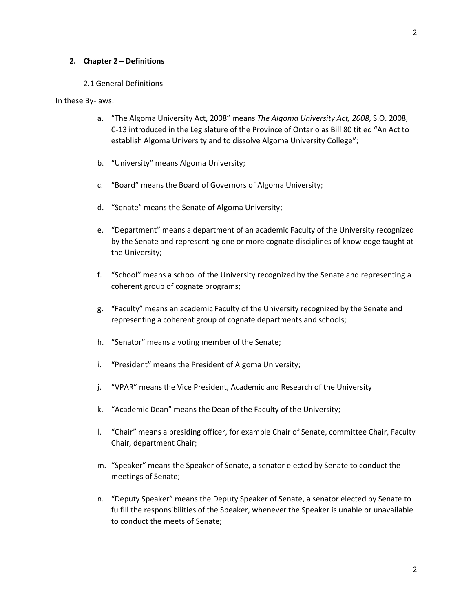#### 2.1 General Definitions

#### In these By-laws:

- a. "The Algoma University Act, 2008" means *The Algoma University Act, 2008*, S.O. 2008, C-13 introduced in the Legislature of the Province of Ontario as Bill 80 titled "An Act to establish Algoma University and to dissolve Algoma University College";
- b. "University" means Algoma University;
- c. "Board" means the Board of Governors of Algoma University;
- d. "Senate" means the Senate of Algoma University;
- e. "Department" means a department of an academic Faculty of the University recognized by the Senate and representing one or more cognate disciplines of knowledge taught at the University;
- f. "School" means a school of the University recognized by the Senate and representing a coherent group of cognate programs;
- g. "Faculty" means an academic Faculty of the University recognized by the Senate and representing a coherent group of cognate departments and schools;
- h. "Senator" means a voting member of the Senate;
- i. "President" means the President of Algoma University;
- j. "VPAR" means the Vice President, Academic and Research of the University
- k. "Academic Dean" means the Dean of the Faculty of the University;
- l. "Chair" means a presiding officer, for example Chair of Senate, committee Chair, Faculty Chair, department Chair;
- m. "Speaker" means the Speaker of Senate, a senator elected by Senate to conduct the meetings of Senate;
- n. "Deputy Speaker" means the Deputy Speaker of Senate, a senator elected by Senate to fulfill the responsibilities of the Speaker, whenever the Speaker is unable or unavailable to conduct the meets of Senate;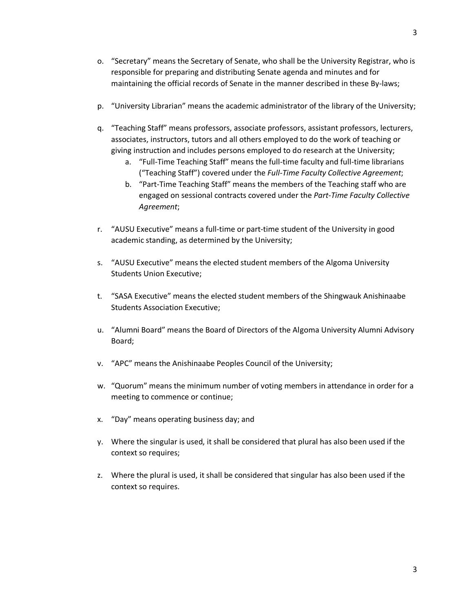- o. "Secretary" means the Secretary of Senate, who shall be the University Registrar, who is responsible for preparing and distributing Senate agenda and minutes and for maintaining the official records of Senate in the manner described in these By-laws;
- p. "University Librarian" means the academic administrator of the library of the University;
- q. "Teaching Staff" means professors, associate professors, assistant professors, lecturers, associates, instructors, tutors and all others employed to do the work of teaching or giving instruction and includes persons employed to do research at the University;
	- a. "Full-Time Teaching Staff" means the full-time faculty and full-time librarians ("Teaching Staff") covered under the *Full-Time Faculty Collective Agreement*;
	- b. "Part-Time Teaching Staff" means the members of the Teaching staff who are engaged on sessional contracts covered under the *Part-Time Faculty Collective Agreement*;
- r. "AUSU Executive" means a full-time or part-time student of the University in good academic standing, as determined by the University;
- s. "AUSU Executive" means the elected student members of the Algoma University Students Union Executive;
- t. "SASA Executive" means the elected student members of the Shingwauk Anishinaabe Students Association Executive;
- u. "Alumni Board" means the Board of Directors of the Algoma University Alumni Advisory Board;
- v. "APC" means the Anishinaabe Peoples Council of the University;
- w. "Quorum" means the minimum number of voting members in attendance in order for a meeting to commence or continue;
- x. "Day" means operating business day; and
- y. Where the singular is used, it shall be considered that plural has also been used if the context so requires;
- z. Where the plural is used, it shall be considered that singular has also been used if the context so requires.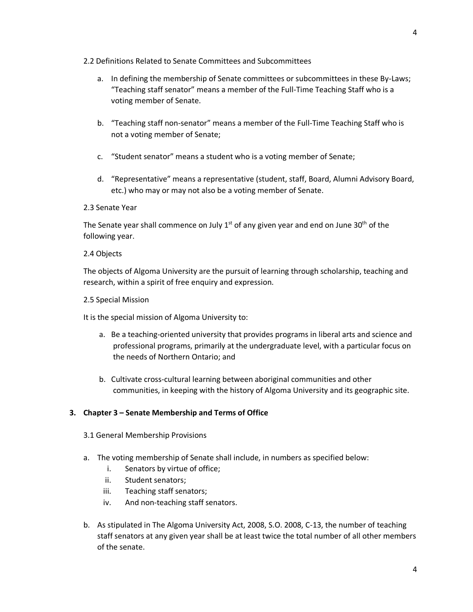### 2.2 Definitions Related to Senate Committees and Subcommittees

- a. In defining the membership of Senate committees or subcommittees in these By-Laws; "Teaching staff senator" means a member of the Full-Time Teaching Staff who is a voting member of Senate.
- b. "Teaching staff non-senator" means a member of the Full-Time Teaching Staff who is not a voting member of Senate;
- c. "Student senator" means a student who is a voting member of Senate;
- d. "Representative" means a representative (student, staff, Board, Alumni Advisory Board, etc.) who may or may not also be a voting member of Senate.

### 2.3 Senate Year

The Senate year shall commence on July  $1<sup>st</sup>$  of any given year and end on June 30<sup>th</sup> of the following year.

### 2.4 Objects

The objects of Algoma University are the pursuit of learning through scholarship, teaching and research, within a spirit of free enquiry and expression.

### 2.5 Special Mission

It is the special mission of Algoma University to:

- a. Be a teaching-oriented university that provides programs in liberal arts and science and professional programs, primarily at the undergraduate level, with a particular focus on the needs of Northern Ontario; and
- b. Cultivate cross-cultural learning between aboriginal communities and other communities, in keeping with the history of Algoma University and its geographic site.

# **3. Chapter 3 – Senate Membership and Terms of Office**

- 3.1 General Membership Provisions
- a. The voting membership of Senate shall include, in numbers as specified below:
	- i. Senators by virtue of office;
	- ii. Student senators;
	- iii. Teaching staff senators;
	- iv. And non-teaching staff senators.
- b. As stipulated in The Algoma University Act, 2008, S.O. 2008, C-13, the number of teaching staff senators at any given year shall be at least twice the total number of all other members of the senate.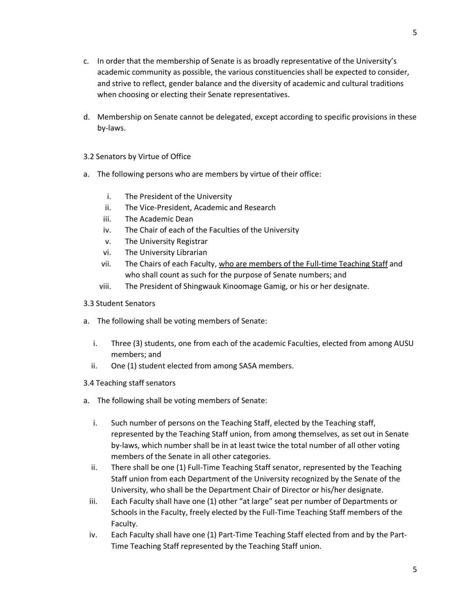- c. In order that the membership of Senate is as broadly representative of the University's academic community as possible, the various constituencies shall be expected to consider, and strive to reflect, gender balance and the diversity of academic and cultural traditions when choosing or electing their Senate representatives.
- d. Membership on Senate cannot be delegated, except according to specific provisions in these by-laws.
- 3.2 Senators by Virtue of Office
- a. The following persons who are members by virtue of their office:
	- i. The President of the University
	- ii. The Vice-President, Academic and Research
	- iii. The Academic Dean
	- iv. The Chair of each of the Faculties of the University
	- v. The University Registrar
	- vi. The University Librarian
	- vii. The Chairs of each Faculty, who are members of the Full-time Teaching Staff and who shall count as such for the purpose of Senate numbers; and
	- viii. The President of Shingwauk Kinoomage Gamig, or his or her designate.
- 3.3 Student Senators
- a. The following shall be voting members of Senate:
	- i. Three (3) students, one from each of the academic Faculties, elected from among AUSU members; and
	- ii. One (1) student elected from among SASA members.
- 3.4 Teaching staff senators
- a. The following shall be voting members of Senate:
	- i. Such number of persons on the Teaching Staff, elected by the Teaching staff, represented by the Teaching Staff union, from among themselves, as set out in Senate by-laws, which number shall be in at least twice the total number of all other voting members of the Senate in all other categories.
	- ii. There shall be one (1) Full-Time Teaching Staff senator, represented by the Teaching Staff union from each Department of the University recognized by the Senate of the University, who shall be the Department Chair of Director or his/her designate.
	- iii. Each Faculty shall have one (1) other "at large" seat per number of Departments or Schools in the Faculty, freely elected by the Full-Time Teaching Staff members of the Faculty.
	- iv. Each Faculty shall have one (1) Part-Time Teaching Staff elected from and by the Part-Time Teaching Staff represented by the Teaching Staff union.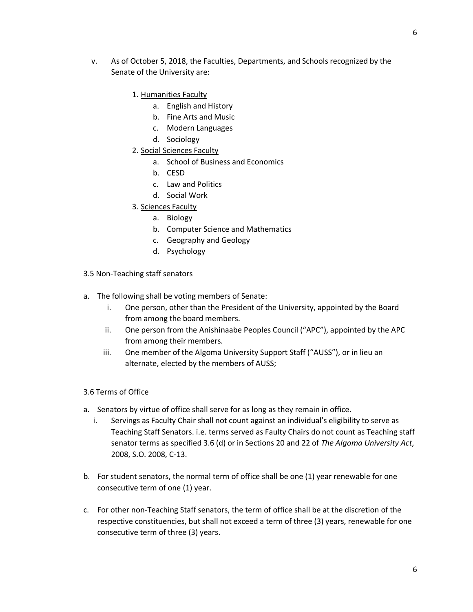- v. As of October 5, 2018, the Faculties, Departments, and Schools recognized by the Senate of the University are:
	- 1. Humanities Faculty
		- a. English and History
		- b. Fine Arts and Music
		- c. Modern Languages
		- d. Sociology
	- 2. Social Sciences Faculty
		- a. School of Business and Economics
		- b. CESD
		- c. Law and Politics
		- d. Social Work
	- 3. Sciences Faculty
		- a. Biology
		- b. Computer Science and Mathematics
		- c. Geography and Geology
		- d. Psychology
- 3.5 Non-Teaching staff senators
- a. The following shall be voting members of Senate:
	- i. One person, other than the President of the University, appointed by the Board from among the board members.
	- ii. One person from the Anishinaabe Peoples Council ("APC"), appointed by the APC from among their members.
	- iii. One member of the Algoma University Support Staff ("AUSS"), or in lieu an alternate, elected by the members of AUSS;
- 3.6 Terms of Office
- a. Senators by virtue of office shall serve for as long as they remain in office.
	- i. Servings as Faculty Chair shall not count against an individual's eligibility to serve as Teaching Staff Senators. i.e. terms served as Faulty Chairs do not count as Teaching staff senator terms as specified 3.6 (d) or in Sections 20 and 22 of *The Algoma University Act*, 2008, S.O. 2008, C-13.
- b. For student senators, the normal term of office shall be one (1) year renewable for one consecutive term of one (1) year.
- c. For other non-Teaching Staff senators, the term of office shall be at the discretion of the respective constituencies, but shall not exceed a term of three (3) years, renewable for one consecutive term of three (3) years.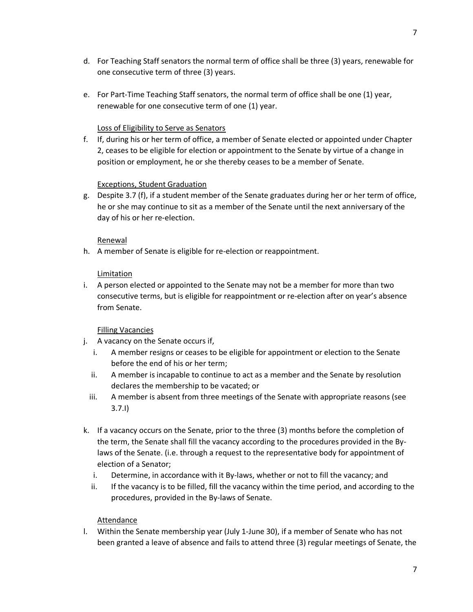- d. For Teaching Staff senators the normal term of office shall be three (3) years, renewable for one consecutive term of three (3) years.
- e. For Part-Time Teaching Staff senators, the normal term of office shall be one (1) year, renewable for one consecutive term of one (1) year.

# Loss of Eligibility to Serve as Senators

f. If, during his or her term of office, a member of Senate elected or appointed under Chapter 2, ceases to be eligible for election or appointment to the Senate by virtue of a change in position or employment, he or she thereby ceases to be a member of Senate.

# Exceptions, Student Graduation

g. Despite 3.7 (f), if a student member of the Senate graduates during her or her term of office, he or she may continue to sit as a member of the Senate until the next anniversary of the day of his or her re-election.

# Renewal

h. A member of Senate is eligible for re-election or reappointment.

# Limitation

i. A person elected or appointed to the Senate may not be a member for more than two consecutive terms, but is eligible for reappointment or re-election after on year's absence from Senate.

# Filling Vacancies

- j. A vacancy on the Senate occurs if,
	- i. A member resigns or ceases to be eligible for appointment or election to the Senate before the end of his or her term;
	- ii. A member is incapable to continue to act as a member and the Senate by resolution declares the membership to be vacated; or
	- iii. A member is absent from three meetings of the Senate with appropriate reasons (see 3.7.I)
- k. If a vacancy occurs on the Senate, prior to the three (3) months before the completion of the term, the Senate shall fill the vacancy according to the procedures provided in the Bylaws of the Senate. (i.e. through a request to the representative body for appointment of election of a Senator;
	- i. Determine, in accordance with it By-laws, whether or not to fill the vacancy; and
	- ii. If the vacancy is to be filled, fill the vacancy within the time period, and according to the procedures, provided in the By-laws of Senate.

# Attendance

l. Within the Senate membership year (July 1-June 30), if a member of Senate who has not been granted a leave of absence and fails to attend three (3) regular meetings of Senate, the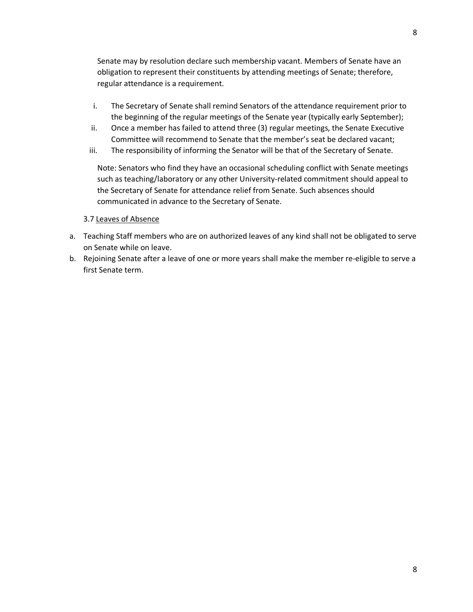Senate may by resolution declare such membership vacant. Members of Senate have an obligation to represent their constituents by attending meetings of Senate; therefore, regular attendance is a requirement.

- i. The Secretary of Senate shall remind Senators of the attendance requirement prior to the beginning of the regular meetings of the Senate year (typically early September);
- ii. Once a member has failed to attend three (3) regular meetings, the Senate Executive Committee will recommend to Senate that the member's seat be declared vacant;
- iii. The responsibility of informing the Senator will be that of the Secretary of Senate.

Note: Senators who find they have an occasional scheduling conflict with Senate meetings such as teaching/laboratory or any other University-related commitment should appeal to the Secretary of Senate for attendance relief from Senate. Such absences should communicated in advance to the Secretary of Senate.

### 3.7 Leaves of Absence

- a. Teaching Staff members who are on authorized leaves of any kind shall not be obligated to serve on Senate while on leave.
- b. Rejoining Senate after a leave of one or more years shall make the member re-eligible to serve a first Senate term.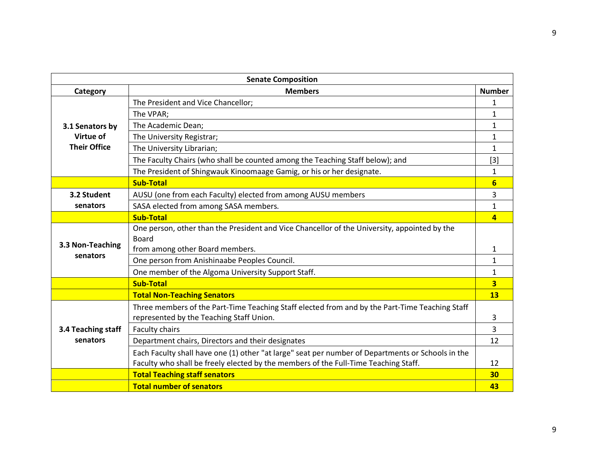| <b>Senate Composition</b>                           |                                                                                                   |                         |
|-----------------------------------------------------|---------------------------------------------------------------------------------------------------|-------------------------|
| Category                                            | <b>Members</b>                                                                                    | <b>Number</b>           |
| 3.1 Senators by<br>Virtue of<br><b>Their Office</b> | The President and Vice Chancellor;                                                                | 1                       |
|                                                     | The VPAR;                                                                                         | $\mathbf{1}$            |
|                                                     | The Academic Dean;                                                                                | $\mathbf{1}$            |
|                                                     | The University Registrar;                                                                         | 1                       |
|                                                     | The University Librarian;                                                                         | $\mathbf{1}$            |
|                                                     | The Faculty Chairs (who shall be counted among the Teaching Staff below); and                     | $[3]$                   |
|                                                     | The President of Shingwauk Kinoomaage Gamig, or his or her designate.                             | $\mathbf{1}$            |
|                                                     | <b>Sub-Total</b>                                                                                  | $6\overline{6}$         |
| 3.2 Student                                         | AUSU (one from each Faculty) elected from among AUSU members                                      | 3                       |
| senators                                            | SASA elected from among SASA members.                                                             | $\mathbf{1}$            |
|                                                     | <b>Sub-Total</b>                                                                                  | $\overline{a}$          |
| 3.3 Non-Teaching<br>senators                        | One person, other than the President and Vice Chancellor of the University, appointed by the      |                         |
|                                                     | <b>Board</b>                                                                                      |                         |
|                                                     | from among other Board members.                                                                   | 1                       |
|                                                     | One person from Anishinaabe Peoples Council.                                                      | $\mathbf{1}$            |
|                                                     | One member of the Algoma University Support Staff.                                                | $\mathbf{1}$            |
|                                                     | <b>Sub-Total</b>                                                                                  | $\overline{\mathbf{3}}$ |
|                                                     | <b>Total Non-Teaching Senators</b>                                                                | <b>13</b>               |
| 3.4 Teaching staff<br>senators                      | Three members of the Part-Time Teaching Staff elected from and by the Part-Time Teaching Staff    |                         |
|                                                     | represented by the Teaching Staff Union.                                                          | 3                       |
|                                                     | Faculty chairs                                                                                    | 3                       |
|                                                     | Department chairs, Directors and their designates                                                 | 12                      |
|                                                     | Each Faculty shall have one (1) other "at large" seat per number of Departments or Schools in the |                         |
|                                                     | Faculty who shall be freely elected by the members of the Full-Time Teaching Staff.               | 12                      |
|                                                     | <b>Total Teaching staff senators</b>                                                              | 30                      |
|                                                     | <b>Total number of senators</b>                                                                   | 43                      |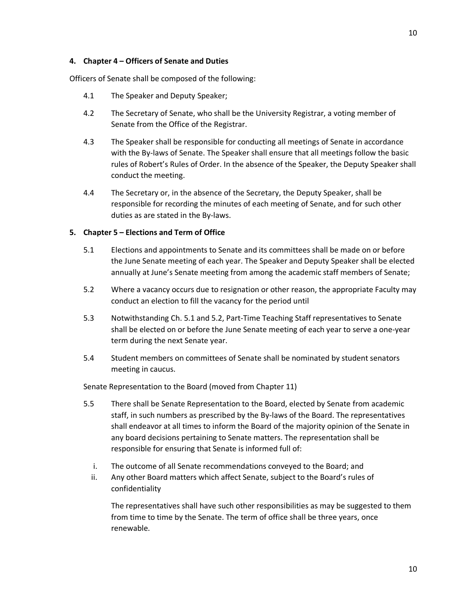# **4. Chapter 4 – Officers of Senate and Duties**

Officers of Senate shall be composed of the following:

- 4.1 The Speaker and Deputy Speaker;
- 4.2 The Secretary of Senate, who shall be the University Registrar, a voting member of Senate from the Office of the Registrar.
- 4.3 The Speaker shall be responsible for conducting all meetings of Senate in accordance with the By-laws of Senate. The Speaker shall ensure that all meetings follow the basic rules of Robert's Rules of Order. In the absence of the Speaker, the Deputy Speaker shall conduct the meeting.
- 4.4 The Secretary or, in the absence of the Secretary, the Deputy Speaker, shall be responsible for recording the minutes of each meeting of Senate, and for such other duties as are stated in the By-laws.

# **5. Chapter 5 – Elections and Term of Office**

- 5.1 Elections and appointments to Senate and its committees shall be made on or before the June Senate meeting of each year. The Speaker and Deputy Speaker shall be elected annually at June's Senate meeting from among the academic staff members of Senate;
- 5.2 Where a vacancy occurs due to resignation or other reason, the appropriate Faculty may conduct an election to fill the vacancy for the period until
- 5.3 Notwithstanding Ch. 5.1 and 5.2, Part-Time Teaching Staff representatives to Senate shall be elected on or before the June Senate meeting of each year to serve a one-year term during the next Senate year.
- 5.4 Student members on committees of Senate shall be nominated by student senators meeting in caucus.

Senate Representation to the Board (moved from Chapter 11)

- 5.5 There shall be Senate Representation to the Board, elected by Senate from academic staff, in such numbers as prescribed by the By-laws of the Board. The representatives shall endeavor at all times to inform the Board of the majority opinion of the Senate in any board decisions pertaining to Senate matters. The representation shall be responsible for ensuring that Senate is informed full of:
	- i. The outcome of all Senate recommendations conveyed to the Board; and
	- ii. Any other Board matters which affect Senate, subject to the Board's rules of confidentiality

The representatives shall have such other responsibilities as may be suggested to them from time to time by the Senate. The term of office shall be three years, once renewable.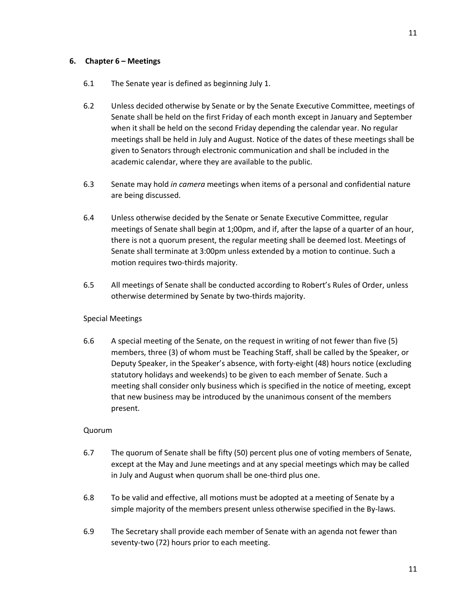# 6.1 The Senate year is defined as beginning July 1.

- 6.2 Unless decided otherwise by Senate or by the Senate Executive Committee, meetings of Senate shall be held on the first Friday of each month except in January and September when it shall be held on the second Friday depending the calendar year. No regular meetings shall be held in July and August. Notice of the dates of these meetings shall be given to Senators through electronic communication and shall be included in the academic calendar, where they are available to the public.
- 6.3 Senate may hold *in camera* meetings when items of a personal and confidential nature are being discussed.
- 6.4 Unless otherwise decided by the Senate or Senate Executive Committee, regular meetings of Senate shall begin at 1;00pm, and if, after the lapse of a quarter of an hour, there is not a quorum present, the regular meeting shall be deemed lost. Meetings of Senate shall terminate at 3:00pm unless extended by a motion to continue. Such a motion requires two-thirds majority.
- 6.5 All meetings of Senate shall be conducted according to Robert's Rules of Order, unless otherwise determined by Senate by two-thirds majority.

# Special Meetings

6.6 A special meeting of the Senate, on the request in writing of not fewer than five (5) members, three (3) of whom must be Teaching Staff, shall be called by the Speaker, or Deputy Speaker, in the Speaker's absence, with forty-eight (48) hours notice (excluding statutory holidays and weekends) to be given to each member of Senate. Such a meeting shall consider only business which is specified in the notice of meeting, except that new business may be introduced by the unanimous consent of the members present.

# Quorum

- 6.7 The quorum of Senate shall be fifty (50) percent plus one of voting members of Senate, except at the May and June meetings and at any special meetings which may be called in July and August when quorum shall be one-third plus one.
- 6.8 To be valid and effective, all motions must be adopted at a meeting of Senate by a simple majority of the members present unless otherwise specified in the By-laws.
- 6.9 The Secretary shall provide each member of Senate with an agenda not fewer than seventy-two (72) hours prior to each meeting.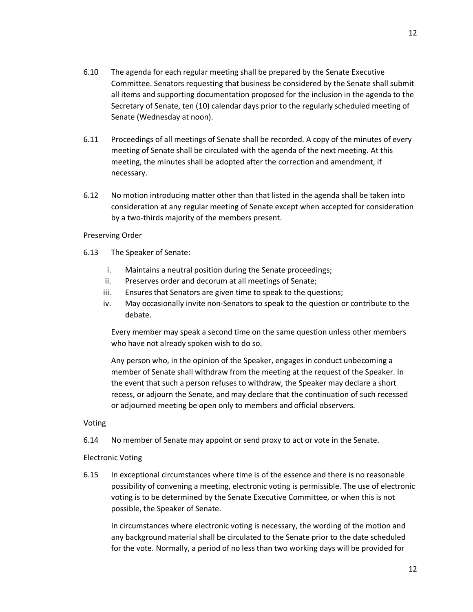- 6.10 The agenda for each regular meeting shall be prepared by the Senate Executive Committee. Senators requesting that business be considered by the Senate shall submit all items and supporting documentation proposed for the inclusion in the agenda to the Secretary of Senate, ten (10) calendar days prior to the regularly scheduled meeting of Senate (Wednesday at noon).
- 6.11 Proceedings of all meetings of Senate shall be recorded. A copy of the minutes of every meeting of Senate shall be circulated with the agenda of the next meeting. At this meeting, the minutes shall be adopted after the correction and amendment, if necessary.
- 6.12 No motion introducing matter other than that listed in the agenda shall be taken into consideration at any regular meeting of Senate except when accepted for consideration by a two-thirds majority of the members present.

### Preserving Order

- 6.13 The Speaker of Senate:
	- i. Maintains a neutral position during the Senate proceedings;
	- ii. Preserves order and decorum at all meetings of Senate;
	- iii. Ensures that Senators are given time to speak to the questions;
	- iv. May occasionally invite non-Senators to speak to the question or contribute to the debate.

Every member may speak a second time on the same question unless other members who have not already spoken wish to do so.

Any person who, in the opinion of the Speaker, engages in conduct unbecoming a member of Senate shall withdraw from the meeting at the request of the Speaker. In the event that such a person refuses to withdraw, the Speaker may declare a short recess, or adjourn the Senate, and may declare that the continuation of such recessed or adjourned meeting be open only to members and official observers.

# Voting

6.14 No member of Senate may appoint or send proxy to act or vote in the Senate.

# Electronic Voting

6.15 In exceptional circumstances where time is of the essence and there is no reasonable possibility of convening a meeting, electronic voting is permissible. The use of electronic voting is to be determined by the Senate Executive Committee, or when this is not possible, the Speaker of Senate.

In circumstances where electronic voting is necessary, the wording of the motion and any background material shall be circulated to the Senate prior to the date scheduled for the vote. Normally, a period of no less than two working days will be provided for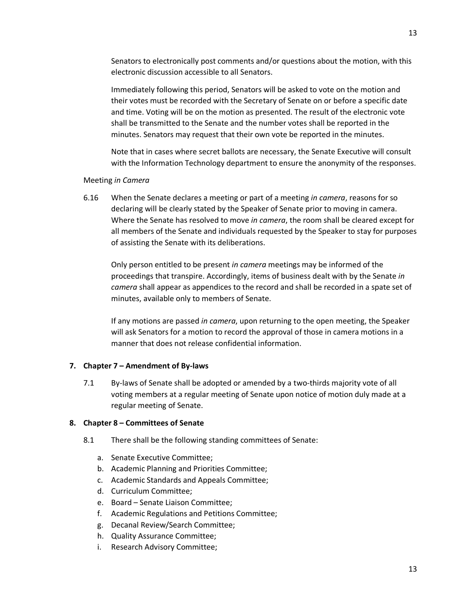Senators to electronically post comments and/or questions about the motion, with this electronic discussion accessible to all Senators.

Immediately following this period, Senators will be asked to vote on the motion and their votes must be recorded with the Secretary of Senate on or before a specific date and time. Voting will be on the motion as presented. The result of the electronic vote shall be transmitted to the Senate and the number votes shall be reported in the minutes. Senators may request that their own vote be reported in the minutes.

Note that in cases where secret ballots are necessary, the Senate Executive will consult with the Information Technology department to ensure the anonymity of the responses.

### Meeting *in Camera*

6.16 When the Senate declares a meeting or part of a meeting *in camera*, reasons for so declaring will be clearly stated by the Speaker of Senate prior to moving in camera. Where the Senate has resolved to move *in camera*, the room shall be cleared except for all members of the Senate and individuals requested by the Speaker to stay for purposes of assisting the Senate with its deliberations.

Only person entitled to be present *in camera* meetings may be informed of the proceedings that transpire. Accordingly, items of business dealt with by the Senate *in camera* shall appear as appendices to the record and shall be recorded in a spate set of minutes, available only to members of Senate.

If any motions are passed *in camera*, upon returning to the open meeting, the Speaker will ask Senators for a motion to record the approval of those in camera motions in a manner that does not release confidential information.

### **7. Chapter 7 – Amendment of By-laws**

7.1 By-laws of Senate shall be adopted or amended by a two-thirds majority vote of all voting members at a regular meeting of Senate upon notice of motion duly made at a regular meeting of Senate.

### **8. Chapter 8 – Committees of Senate**

- 8.1 There shall be the following standing committees of Senate:
	- a. Senate Executive Committee;
	- b. Academic Planning and Priorities Committee;
	- c. Academic Standards and Appeals Committee;
	- d. Curriculum Committee;
	- e. Board Senate Liaison Committee;
	- f. Academic Regulations and Petitions Committee;
	- g. Decanal Review/Search Committee;
	- h. Quality Assurance Committee;
	- i. Research Advisory Committee;